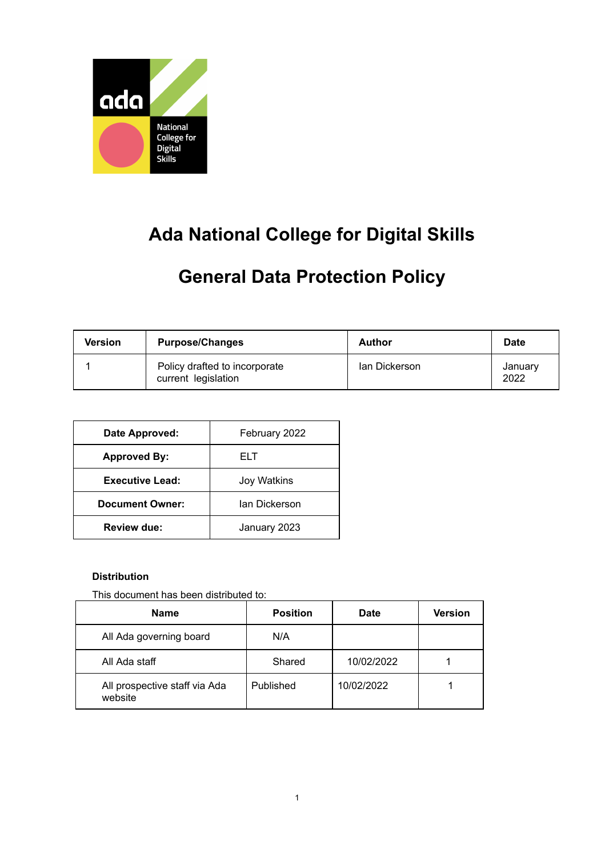

# **Ada National College for Digital Skills**

## **General Data Protection Policy**

| <b>Version</b> | <b>Purpose/Changes</b>                               | <b>Author</b> | <b>Date</b>     |
|----------------|------------------------------------------------------|---------------|-----------------|
|                | Policy drafted to incorporate<br>current legislation | lan Dickerson | January<br>2022 |

| Date Approved:         | February 2022 |  |
|------------------------|---------------|--|
| <b>Approved By:</b>    | FI T          |  |
| <b>Executive Lead:</b> | Joy Watkins   |  |
| <b>Document Owner:</b> | Ian Dickerson |  |
| <b>Review due:</b>     | January 2023  |  |

#### **Distribution**

This document has been distributed to:

| <b>Name</b>                              | <b>Position</b> | <b>Date</b> | <b>Version</b> |
|------------------------------------------|-----------------|-------------|----------------|
| All Ada governing board                  | N/A             |             |                |
| All Ada staff                            | Shared          | 10/02/2022  |                |
| All prospective staff via Ada<br>website | Published       | 10/02/2022  |                |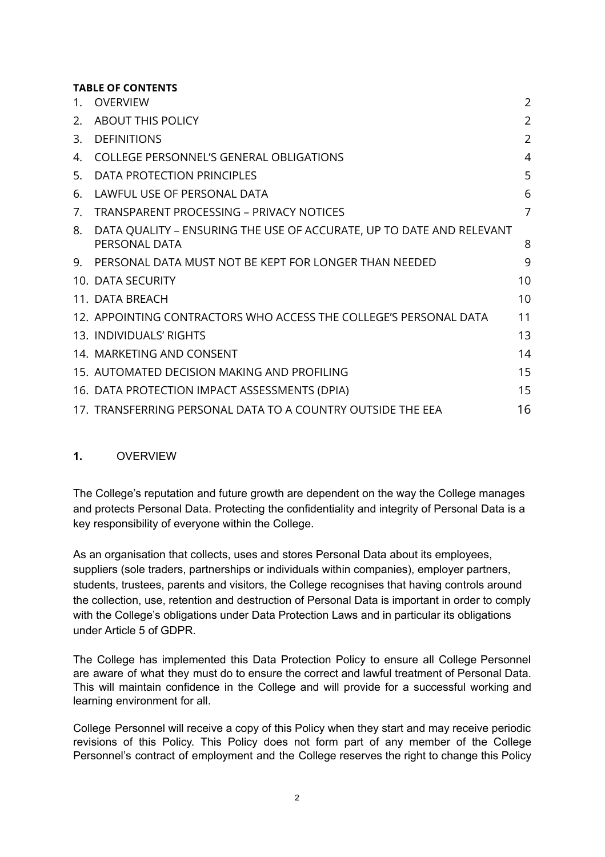## **TABLE OF CONTENTS**

| $\mathbf{1}$ . | <b>OVERVIEW</b>                                                                       | 2              |
|----------------|---------------------------------------------------------------------------------------|----------------|
| 2.             | <b>ABOUT THIS POLICY</b>                                                              | $\overline{2}$ |
| 3.             | <b>DEFINITIONS</b>                                                                    | 2              |
| 4.             | <b>COLLEGE PERSONNEL'S GENERAL OBLIGATIONS</b>                                        | $\overline{4}$ |
| 5.             | DATA PROTECTION PRINCIPLES                                                            | 5              |
| 6.             | LAWFUL USE OF PERSONAL DATA                                                           | 6              |
| 7.             | <b>TRANSPARENT PROCESSING - PRIVACY NOTICES</b>                                       | $\overline{7}$ |
| 8.             | DATA QUALITY - ENSURING THE USE OF ACCURATE, UP TO DATE AND RELEVANT<br>PERSONAL DATA | 8              |
| 9.             | PERSONAL DATA MUST NOT BE KEPT FOR LONGER THAN NEEDED                                 | 9              |
|                | 10. DATA SECURITY                                                                     | 10             |
|                | 11. DATA BREACH                                                                       | 10             |
|                | 12. APPOINTING CONTRACTORS WHO ACCESS THE COLLEGE'S PERSONAL DATA                     | 11             |
|                | 13. INDIVIDUALS' RIGHTS                                                               | 13             |
|                | 14. MARKETING AND CONSENT                                                             | 14             |
|                | 15. AUTOMATED DECISION MAKING AND PROFILING                                           | 15             |
|                | 16. DATA PROTECTION IMPACT ASSESSMENTS (DPIA)                                         | 15             |
|                | 17. TRANSFERRING PERSONAL DATA TO A COUNTRY OUTSIDE THE EEA                           | 16             |

## <span id="page-1-0"></span>**1.** OVERVIEW

The College's reputation and future growth are dependent on the way the College manages and protects Personal Data. Protecting the confidentiality and integrity of Personal Data is a key responsibility of everyone within the College.

As an organisation that collects, uses and stores Personal Data about its employees, suppliers (sole traders, partnerships or individuals within companies), employer partners, students, trustees, parents and visitors, the College recognises that having controls around the collection, use, retention and destruction of Personal Data is important in order to comply with the College's obligations under Data Protection Laws and in particular its obligations under Article 5 of GDPR.

The College has implemented this Data Protection Policy to ensure all College Personnel are aware of what they must do to ensure the correct and lawful treatment of Personal Data. This will maintain confidence in the College and will provide for a successful working and learning environment for all.

College Personnel will receive a copy of this Policy when they start and may receive periodic revisions of this Policy. This Policy does not form part of any member of the College Personnel's contract of employment and the College reserves the right to change this Policy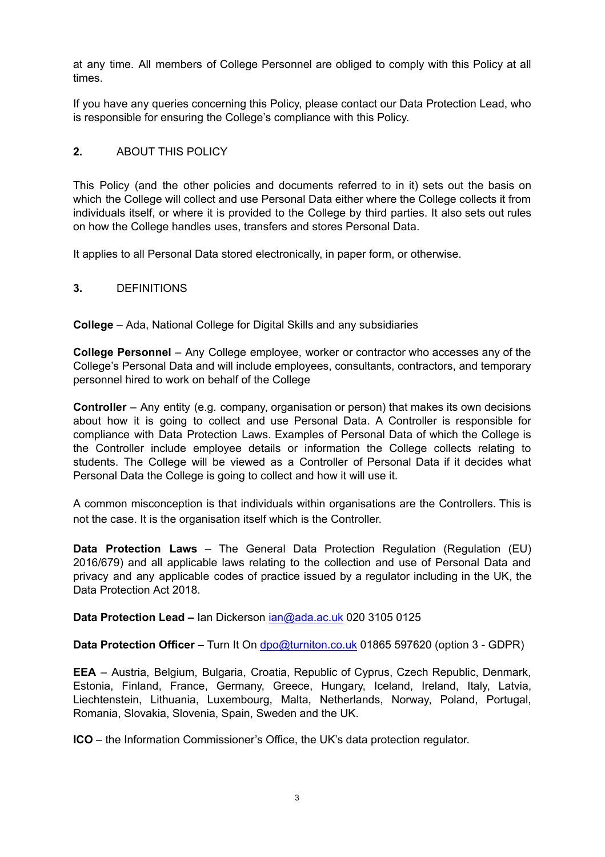at any time. All members of College Personnel are obliged to comply with this Policy at all times.

If you have any queries concerning this Policy, please contact our Data Protection Lead, who is responsible for ensuring the College's compliance with this Policy.

### <span id="page-2-0"></span>**2.** ABOUT THIS POLICY

This Policy (and the other policies and documents referred to in it) sets out the basis on which the College will collect and use Personal Data either where the College collects it from individuals itself, or where it is provided to the College by third parties. It also sets out rules on how the College handles uses, transfers and stores Personal Data.

<span id="page-2-1"></span>It applies to all Personal Data stored electronically, in paper form, or otherwise.

### **3.** DEFINITIONS

**College** – Ada, National College for Digital Skills and any subsidiaries

**College Personnel** – Any College employee, worker or contractor who accesses any of the College's Personal Data and will include employees, consultants, contractors, and temporary personnel hired to work on behalf of the College

**Controller** – Any entity (e.g. company, organisation or person) that makes its own decisions about how it is going to collect and use Personal Data. A Controller is responsible for compliance with Data Protection Laws. Examples of Personal Data of which the College is the Controller include employee details or information the College collects relating to students. The College will be viewed as a Controller of Personal Data if it decides what Personal Data the College is going to collect and how it will use it.

A common misconception is that individuals within organisations are the Controllers. This is not the case. It is the organisation itself which is the Controller.

**Data Protection Laws** – The General Data Protection Regulation (Regulation (EU) 2016/679) and all applicable laws relating to the collection and use of Personal Data and privacy and any applicable codes of practice issued by a regulator including in the UK, the Data Protection Act 2018.

**Data Protection Lead –** Ian Dickerson [ian@ada.ac.uk](mailto:ian@ada.ac.uk) 020 3105 0125

**Data Protection Officer –** Turn It On [dpo@turniton.co.uk](mailto:dpo@turniton.co.uk) 01865 597620 (option 3 - GDPR)

**EEA** – Austria, Belgium, Bulgaria, Croatia, Republic of Cyprus, Czech Republic, Denmark, Estonia, Finland, France, Germany, Greece, Hungary, Iceland, Ireland, Italy, Latvia, Liechtenstein, Lithuania, Luxembourg, Malta, Netherlands, Norway, Poland, Portugal, Romania, Slovakia, Slovenia, Spain, Sweden and the UK.

**ICO** – the Information Commissioner's Office, the UK's data protection regulator.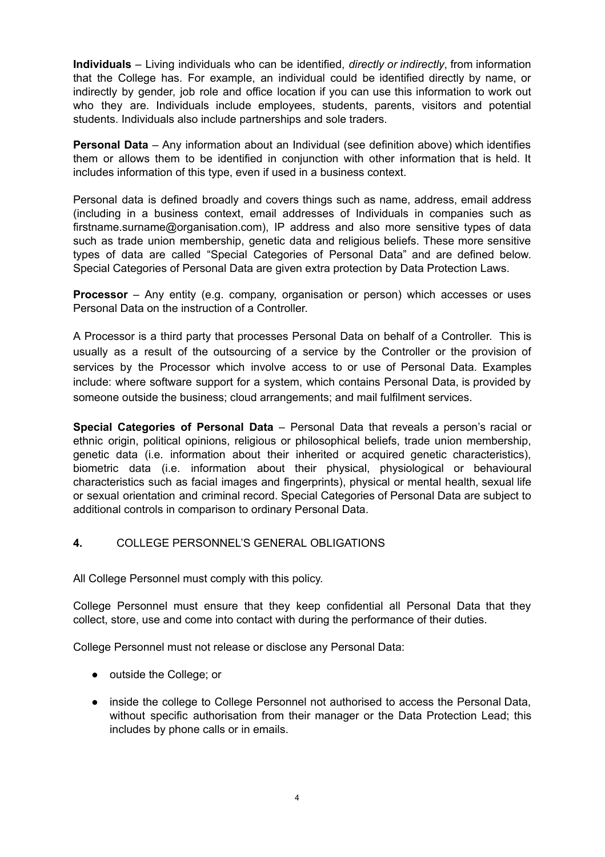**Individuals** – Living individuals who can be identified, *directly or indirectly*, from information that the College has. For example, an individual could be identified directly by name, or indirectly by gender, job role and office location if you can use this information to work out who they are. Individuals include employees, students, parents, visitors and potential students. Individuals also include partnerships and sole traders.

**Personal Data** – Any information about an Individual (see definition above) which identifies them or allows them to be identified in conjunction with other information that is held. It includes information of this type, even if used in a business context.

Personal data is defined broadly and covers things such as name, address, email address (including in a business context, email addresses of Individuals in companies such as firstname.surname@organisation.com), IP address and also more sensitive types of data such as trade union membership, genetic data and religious beliefs. These more sensitive types of data are called "Special Categories of Personal Data" and are defined below. Special Categories of Personal Data are given extra protection by Data Protection Laws.

**Processor** – Any entity (e.g. company, organisation or person) which accesses or uses Personal Data on the instruction of a Controller.

A Processor is a third party that processes Personal Data on behalf of a Controller. This is usually as a result of the outsourcing of a service by the Controller or the provision of services by the Processor which involve access to or use of Personal Data. Examples include: where software support for a system, which contains Personal Data, is provided by someone outside the business; cloud arrangements; and mail fulfilment services.

**Special Categories of Personal Data** – Personal Data that reveals a person's racial or ethnic origin, political opinions, religious or philosophical beliefs, trade union membership, genetic data (i.e. information about their inherited or acquired genetic characteristics), biometric data (i.e. information about their physical, physiological or behavioural characteristics such as facial images and fingerprints), physical or mental health, sexual life or sexual orientation and criminal record. Special Categories of Personal Data are subject to additional controls in comparison to ordinary Personal Data.

## <span id="page-3-0"></span>**4.** COLLEGE PERSONNEL'S GENERAL OBLIGATIONS

All College Personnel must comply with this policy.

College Personnel must ensure that they keep confidential all Personal Data that they collect, store, use and come into contact with during the performance of their duties.

College Personnel must not release or disclose any Personal Data:

- outside the College; or
- inside the college to College Personnel not authorised to access the Personal Data, without specific authorisation from their manager or the Data Protection Lead; this includes by phone calls or in emails.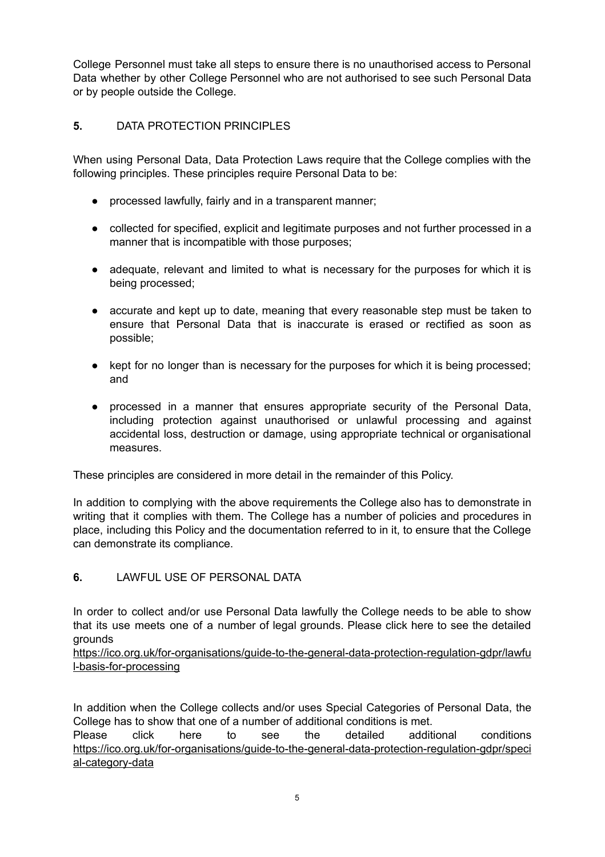College Personnel must take all steps to ensure there is no unauthorised access to Personal Data whether by other College Personnel who are not authorised to see such Personal Data or by people outside the College.

## <span id="page-4-0"></span>**5.** DATA PROTECTION PRINCIPLES

When using Personal Data, Data Protection Laws require that the College complies with the following principles. These principles require Personal Data to be:

- processed lawfully, fairly and in a transparent manner;
- collected for specified, explicit and legitimate purposes and not further processed in a manner that is incompatible with those purposes;
- adequate, relevant and limited to what is necessary for the purposes for which it is being processed;
- accurate and kept up to date, meaning that every reasonable step must be taken to ensure that Personal Data that is inaccurate is erased or rectified as soon as possible;
- kept for no longer than is necessary for the purposes for which it is being processed; and
- processed in a manner that ensures appropriate security of the Personal Data, including protection against unauthorised or unlawful processing and against accidental loss, destruction or damage, using appropriate technical or organisational measures.

These principles are considered in more detail in the remainder of this Policy.

In addition to complying with the above requirements the College also has to demonstrate in writing that it complies with them. The College has a number of policies and procedures in place, including this Policy and the documentation referred to in it, to ensure that the College can demonstrate its compliance.

## <span id="page-4-1"></span>**6.** LAWFUL USE OF PERSONAL DATA

In order to collect and/or use Personal Data lawfully the College needs to be able to show that its use meets one of a number of legal grounds. Please click here to see the detailed grounds

[https://ico.org.uk/for-organisations/guide-to-the-general-data-protection-regulation-gdpr/lawfu](https://ico.org.uk/for-organisations/guide-to-the-general-data-protection-regulation-gdpr/lawful-basis-for-processing) [l-basis-for-processing](https://ico.org.uk/for-organisations/guide-to-the-general-data-protection-regulation-gdpr/lawful-basis-for-processing)

In addition when the College collects and/or uses Special Categories of Personal Data, the College has to show that one of a number of additional conditions is met.

Please click here to see the detailed additional conditions [https://ico.org.uk/for-organisations/guide-to-the-general-data-protection-regulation-gdpr/speci](https://ico.org.uk/for-organisations/guide-to-the-general-data-protection-regulation-gdpr/special-category-data) [al-category-data](https://ico.org.uk/for-organisations/guide-to-the-general-data-protection-regulation-gdpr/special-category-data)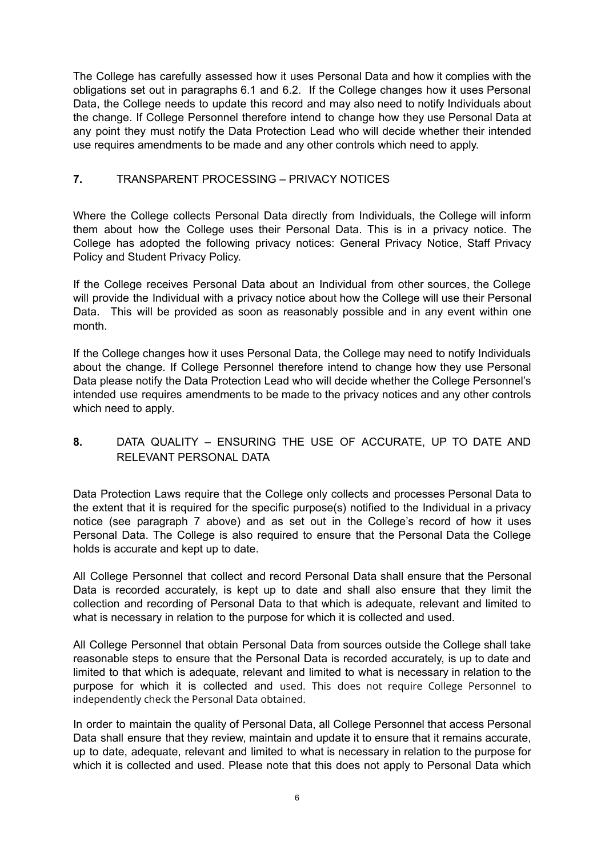The College has carefully assessed how it uses Personal Data and how it complies with the obligations set out in paragraphs 6.1 and 6.2. If the College changes how it uses Personal Data, the College needs to update this record and may also need to notify Individuals about the change. If College Personnel therefore intend to change how they use Personal Data at any point they must notify the Data Protection Lead who will decide whether their intended use requires amendments to be made and any other controls which need to apply.

### <span id="page-5-0"></span>**7.** TRANSPARENT PROCESSING – PRIVACY NOTICES

Where the College collects Personal Data directly from Individuals, the College will inform them about how the College uses their Personal Data. This is in a privacy notice. The College has adopted the following privacy notices: General Privacy Notice, Staff Privacy Policy and Student Privacy Policy.

If the College receives Personal Data about an Individual from other sources, the College will provide the Individual with a privacy notice about how the College will use their Personal Data. This will be provided as soon as reasonably possible and in any event within one month.

If the College changes how it uses Personal Data, the College may need to notify Individuals about the change. If College Personnel therefore intend to change how they use Personal Data please notify the Data Protection Lead who will decide whether the College Personnel's intended use requires amendments to be made to the privacy notices and any other controls which need to apply.

## <span id="page-5-1"></span>**8.** DATA QUALITY – ENSURING THE USE OF ACCURATE, UP TO DATE AND RELEVANT PERSONAL DATA

Data Protection Laws require that the College only collects and processes Personal Data to the extent that it is required for the specific purpose(s) notified to the Individual in a privacy notice (see paragraph 7 above) and as set out in the College's record of how it uses Personal Data. The College is also required to ensure that the Personal Data the College holds is accurate and kept up to date.

All College Personnel that collect and record Personal Data shall ensure that the Personal Data is recorded accurately, is kept up to date and shall also ensure that they limit the collection and recording of Personal Data to that which is adequate, relevant and limited to what is necessary in relation to the purpose for which it is collected and used.

All College Personnel that obtain Personal Data from sources outside the College shall take reasonable steps to ensure that the Personal Data is recorded accurately, is up to date and limited to that which is adequate, relevant and limited to what is necessary in relation to the purpose for which it is collected and used. This does not require College Personnel to independently check the Personal Data obtained.

In order to maintain the quality of Personal Data, all College Personnel that access Personal Data shall ensure that they review, maintain and update it to ensure that it remains accurate, up to date, adequate, relevant and limited to what is necessary in relation to the purpose for which it is collected and used. Please note that this does not apply to Personal Data which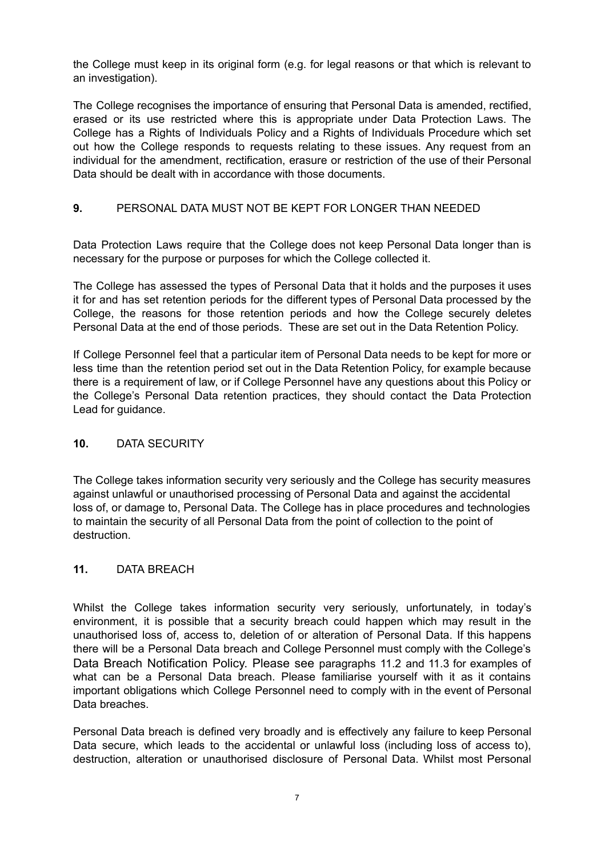the College must keep in its original form (e.g. for legal reasons or that which is relevant to an investigation).

The College recognises the importance of ensuring that Personal Data is amended, rectified, erased or its use restricted where this is appropriate under Data Protection Laws. The College has a Rights of Individuals Policy and a Rights of Individuals Procedure which set out how the College responds to requests relating to these issues. Any request from an individual for the amendment, rectification, erasure or restriction of the use of their Personal Data should be dealt with in accordance with those documents.

## <span id="page-6-0"></span>**9.** PERSONAL DATA MUST NOT BE KEPT FOR LONGER THAN NEEDED

Data Protection Laws require that the College does not keep Personal Data longer than is necessary for the purpose or purposes for which the College collected it.

The College has assessed the types of Personal Data that it holds and the purposes it uses it for and has set retention periods for the different types of Personal Data processed by the College, the reasons for those retention periods and how the College securely deletes Personal Data at the end of those periods. These are set out in the Data Retention Policy.

If College Personnel feel that a particular item of Personal Data needs to be kept for more or less time than the retention period set out in the Data Retention Policy, for example because there is a requirement of law, or if College Personnel have any questions about this Policy or the College's Personal Data retention practices, they should contact the Data Protection Lead for guidance.

#### <span id="page-6-1"></span>**10.** DATA SECURITY

The College takes information security very seriously and the College has security measures against unlawful or unauthorised processing of Personal Data and against the accidental loss of, or damage to, Personal Data. The College has in place procedures and technologies to maintain the security of all Personal Data from the point of collection to the point of destruction.

#### <span id="page-6-2"></span>**11.** DATA BREACH

Whilst the College takes information security very seriously, unfortunately, in today's environment, it is possible that a security breach could happen which may result in the unauthorised loss of, access to, deletion of or alteration of Personal Data. If this happens there will be a Personal Data breach and College Personnel must comply with the College's Data Breach Notification Policy. Please see paragraphs 11.2 and 11.3 for examples of what can be a Personal Data breach. Please familiarise yourself with it as it contains important obligations which College Personnel need to comply with in the event of Personal Data breaches.

Personal Data breach is defined very broadly and is effectively any failure to keep Personal Data secure, which leads to the accidental or unlawful loss (including loss of access to), destruction, alteration or unauthorised disclosure of Personal Data. Whilst most Personal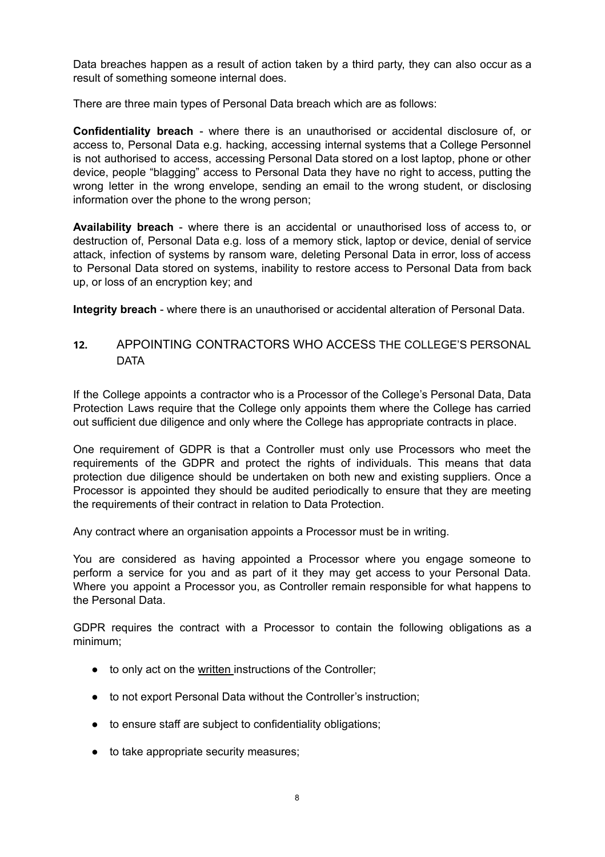Data breaches happen as a result of action taken by a third party, they can also occur as a result of something someone internal does.

There are three main types of Personal Data breach which are as follows:

**Confidentiality breach** - where there is an unauthorised or accidental disclosure of, or access to, Personal Data e.g. hacking, accessing internal systems that a College Personnel is not authorised to access, accessing Personal Data stored on a lost laptop, phone or other device, people "blagging" access to Personal Data they have no right to access, putting the wrong letter in the wrong envelope, sending an email to the wrong student, or disclosing information over the phone to the wrong person;

**Availability breach** - where there is an accidental or unauthorised loss of access to, or destruction of, Personal Data e.g. loss of a memory stick, laptop or device, denial of service attack, infection of systems by ransom ware, deleting Personal Data in error, loss of access to Personal Data stored on systems, inability to restore access to Personal Data from back up, or loss of an encryption key; and

<span id="page-7-0"></span>**Integrity breach** - where there is an unauthorised or accidental alteration of Personal Data.

## **12.** APPOINTING CONTRACTORS WHO ACCESS THE COLLEGE'S PERSONAL **DATA**

If the College appoints a contractor who is a Processor of the College's Personal Data, Data Protection Laws require that the College only appoints them where the College has carried out sufficient due diligence and only where the College has appropriate contracts in place.

One requirement of GDPR is that a Controller must only use Processors who meet the requirements of the GDPR and protect the rights of individuals. This means that data protection due diligence should be undertaken on both new and existing suppliers. Once a Processor is appointed they should be audited periodically to ensure that they are meeting the requirements of their contract in relation to Data Protection.

Any contract where an organisation appoints a Processor must be in writing.

You are considered as having appointed a Processor where you engage someone to perform a service for you and as part of it they may get access to your Personal Data. Where you appoint a Processor you, as Controller remain responsible for what happens to the Personal Data.

GDPR requires the contract with a Processor to contain the following obligations as a minimum;

- to only act on the written instructions of the Controller;
- to not export Personal Data without the Controller's instruction;
- to ensure staff are subject to confidentiality obligations;
- to take appropriate security measures;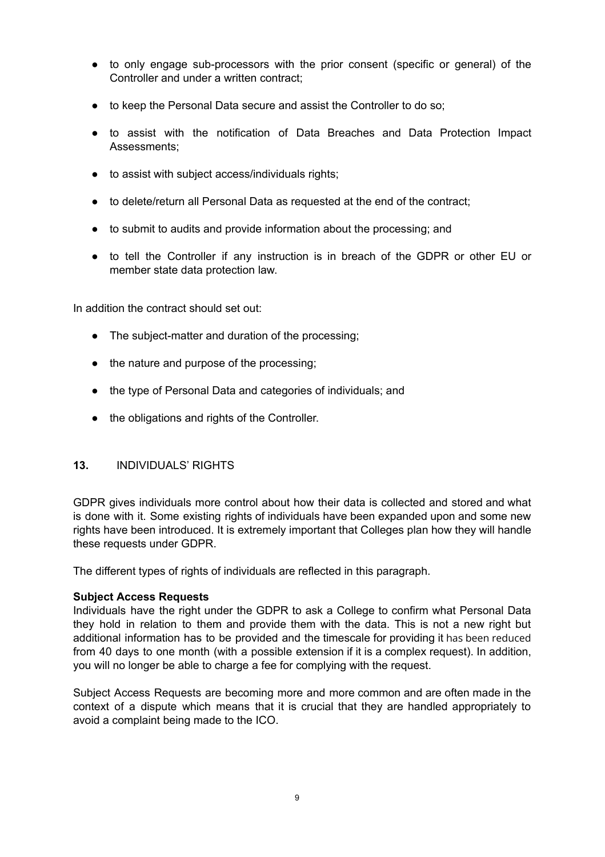- to only engage sub-processors with the prior consent (specific or general) of the Controller and under a written contract;
- to keep the Personal Data secure and assist the Controller to do so;
- to assist with the notification of Data Breaches and Data Protection Impact Assessments;
- to assist with subject access/individuals rights;
- to delete/return all Personal Data as requested at the end of the contract;
- to submit to audits and provide information about the processing; and
- to tell the Controller if any instruction is in breach of the GDPR or other EU or member state data protection law.

In addition the contract should set out:

- The subject-matter and duration of the processing;
- the nature and purpose of the processing;
- the type of Personal Data and categories of individuals; and
- the obligations and rights of the Controller.

#### <span id="page-8-0"></span>**13.** INDIVIDUALS' RIGHTS

GDPR gives individuals more control about how their data is collected and stored and what is done with it. Some existing rights of individuals have been expanded upon and some new rights have been introduced. It is extremely important that Colleges plan how they will handle these requests under GDPR.

The different types of rights of individuals are reflected in this paragraph.

#### **Subject Access Requests**

Individuals have the right under the GDPR to ask a College to confirm what Personal Data they hold in relation to them and provide them with the data. This is not a new right but additional information has to be provided and the timescale for providing it has been reduced from 40 days to one month (with a possible extension if it is a complex request). In addition, you will no longer be able to charge a fee for complying with the request.

Subject Access Requests are becoming more and more common and are often made in the context of a dispute which means that it is crucial that they are handled appropriately to avoid a complaint being made to the ICO.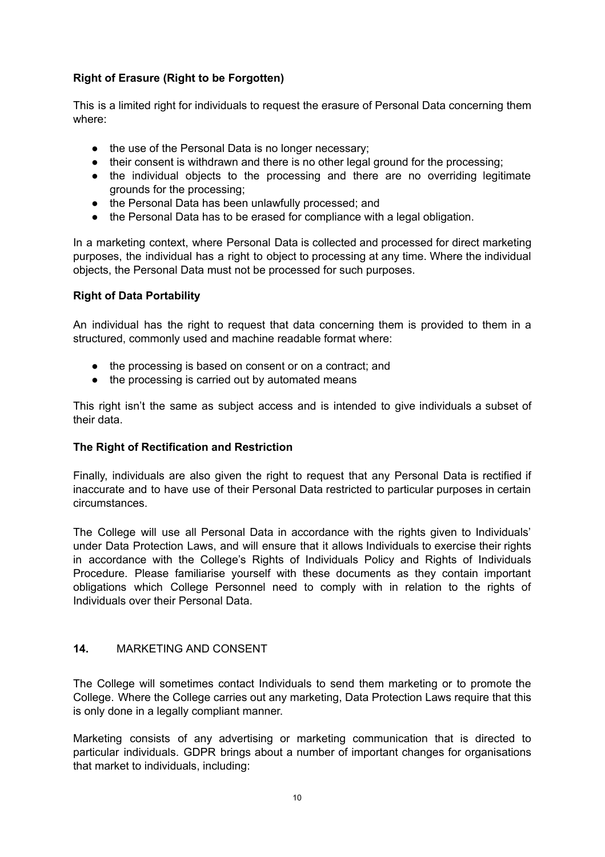## **Right of Erasure (Right to be Forgotten)**

This is a limited right for individuals to request the erasure of Personal Data concerning them where:

- the use of the Personal Data is no longer necessary;
- their consent is withdrawn and there is no other legal ground for the processing;
- the individual objects to the processing and there are no overriding legitimate grounds for the processing;
- the Personal Data has been unlawfully processed; and
- the Personal Data has to be erased for compliance with a legal obligation.

In a marketing context, where Personal Data is collected and processed for direct marketing purposes, the individual has a right to object to processing at any time. Where the individual objects, the Personal Data must not be processed for such purposes.

### **Right of Data Portability**

An individual has the right to request that data concerning them is provided to them in a structured, commonly used and machine readable format where:

- the processing is based on consent or on a contract; and
- the processing is carried out by automated means

This right isn't the same as subject access and is intended to give individuals a subset of their data.

#### **The Right of Rectification and Restriction**

Finally, individuals are also given the right to request that any Personal Data is rectified if inaccurate and to have use of their Personal Data restricted to particular purposes in certain circumstances.

The College will use all Personal Data in accordance with the rights given to Individuals' under Data Protection Laws, and will ensure that it allows Individuals to exercise their rights in accordance with the College's Rights of Individuals Policy and Rights of Individuals Procedure. Please familiarise yourself with these documents as they contain important obligations which College Personnel need to comply with in relation to the rights of Individuals over their Personal Data.

## <span id="page-9-0"></span>**14.** MARKETING AND CONSENT

The College will sometimes contact Individuals to send them marketing or to promote the College. Where the College carries out any marketing, Data Protection Laws require that this is only done in a legally compliant manner.

Marketing consists of any advertising or marketing communication that is directed to particular individuals. GDPR brings about a number of important changes for organisations that market to individuals, including: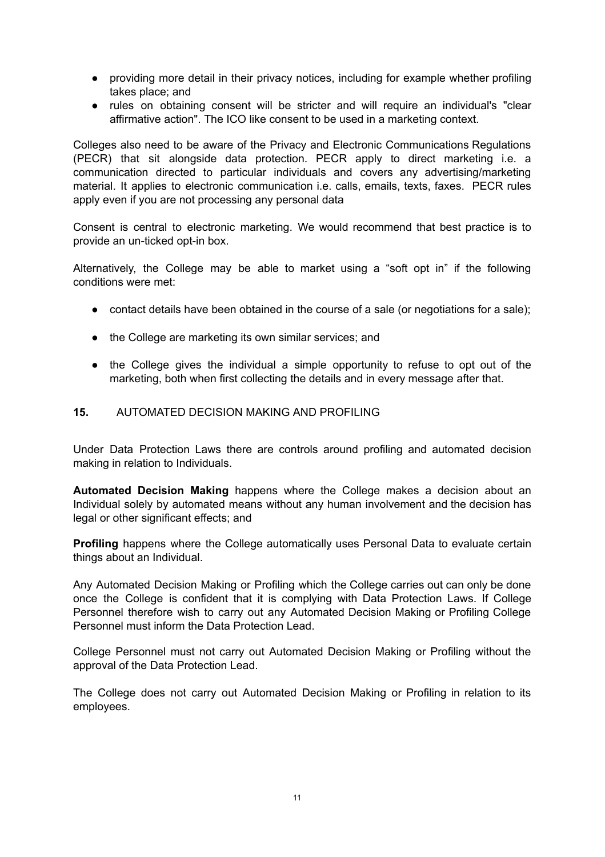- providing more detail in their privacy notices, including for example whether profiling takes place; and
- rules on obtaining consent will be stricter and will require an individual's "clear affirmative action". The ICO like consent to be used in a marketing context.

Colleges also need to be aware of the Privacy and Electronic Communications Regulations (PECR) that sit alongside data protection. PECR apply to direct marketing i.e. a communication directed to particular individuals and covers any advertising/marketing material. It applies to electronic communication i.e. calls, emails, texts, faxes. PECR rules apply even if you are not processing any personal data

Consent is central to electronic marketing. We would recommend that best practice is to provide an un-ticked opt-in box.

Alternatively, the College may be able to market using a "soft opt in" if the following conditions were met:

- contact details have been obtained in the course of a sale (or negotiations for a sale);
- the College are marketing its own similar services; and
- the College gives the individual a simple opportunity to refuse to opt out of the marketing, both when first collecting the details and in every message after that.

#### <span id="page-10-0"></span>**15.** AUTOMATED DECISION MAKING AND PROFILING

Under Data Protection Laws there are controls around profiling and automated decision making in relation to Individuals.

**Automated Decision Making** happens where the College makes a decision about an Individual solely by automated means without any human involvement and the decision has legal or other significant effects; and

**Profiling** happens where the College automatically uses Personal Data to evaluate certain things about an Individual.

Any Automated Decision Making or Profiling which the College carries out can only be done once the College is confident that it is complying with Data Protection Laws. If College Personnel therefore wish to carry out any Automated Decision Making or Profiling College Personnel must inform the Data Protection Lead.

College Personnel must not carry out Automated Decision Making or Profiling without the approval of the Data Protection Lead.

The College does not carry out Automated Decision Making or Profiling in relation to its employees.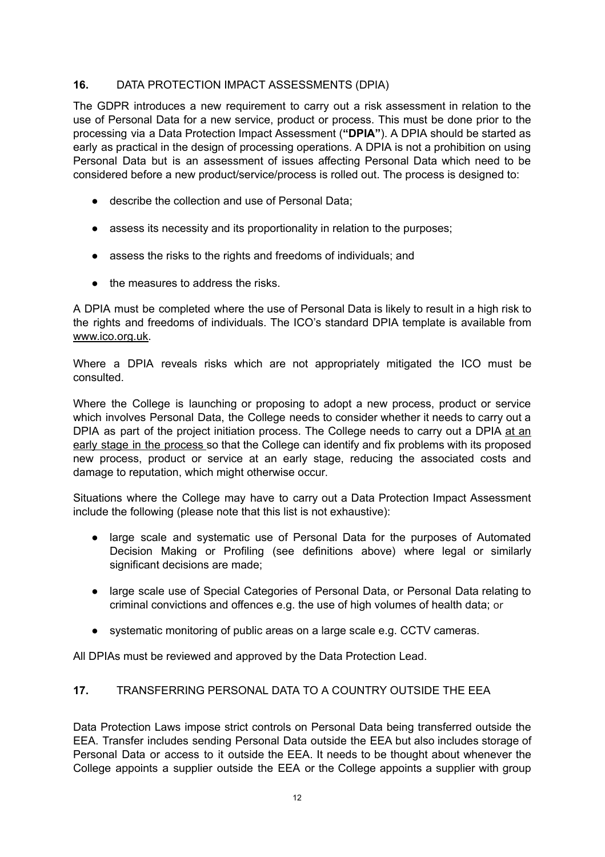### <span id="page-11-0"></span>**16.** DATA PROTECTION IMPACT ASSESSMENTS (DPIA)

The GDPR introduces a new requirement to carry out a risk assessment in relation to the use of Personal Data for a new service, product or process. This must be done prior to the processing via a Data Protection Impact Assessment (**"DPIA"**). A DPIA should be started as early as practical in the design of processing operations. A DPIA is not a prohibition on using Personal Data but is an assessment of issues affecting Personal Data which need to be considered before a new product/service/process is rolled out. The process is designed to:

- describe the collection and use of Personal Data;
- assess its necessity and its proportionality in relation to the purposes;
- assess the risks to the rights and freedoms of individuals; and
- the measures to address the risks.

A DPIA must be completed where the use of Personal Data is likely to result in a high risk to the rights and freedoms of individuals. The ICO's standard DPIA template is available from [www.ico.org.uk.](http://www.ico.org.uk/)

Where a DPIA reveals risks which are not appropriately mitigated the ICO must be consulted.

Where the College is launching or proposing to adopt a new process, product or service which involves Personal Data, the College needs to consider whether it needs to carry out a DPIA as part of the project initiation process. The College needs to carry out a DPIA at an early stage in the process so that the College can identify and fix problems with its proposed new process, product or service at an early stage, reducing the associated costs and damage to reputation, which might otherwise occur.

Situations where the College may have to carry out a Data Protection Impact Assessment include the following (please note that this list is not exhaustive):

- large scale and systematic use of Personal Data for the purposes of Automated Decision Making or Profiling (see definitions above) where legal or similarly significant decisions are made;
- large scale use of Special Categories of Personal Data, or Personal Data relating to criminal convictions and offences e.g. the use of high volumes of health data; or
- systematic monitoring of public areas on a large scale e.g. CCTV cameras.

<span id="page-11-1"></span>All DPIAs must be reviewed and approved by the Data Protection Lead.

## **17.** TRANSFERRING PERSONAL DATA TO A COUNTRY OUTSIDE THE EEA

Data Protection Laws impose strict controls on Personal Data being transferred outside the EEA. Transfer includes sending Personal Data outside the EEA but also includes storage of Personal Data or access to it outside the EEA. It needs to be thought about whenever the College appoints a supplier outside the EEA or the College appoints a supplier with group